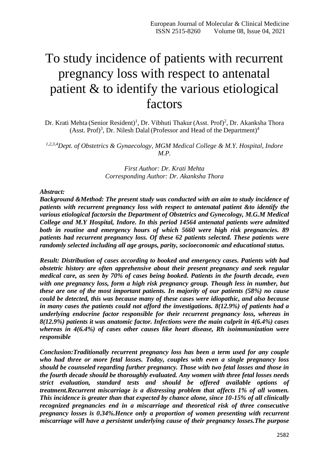# To study incidence of patients with recurrent pregnancy loss with respect to antenatal patient & to identify the various etiological factors

Dr. Krati Mehta (Senior Resident)<sup>1</sup>, Dr. Vibhuti Thakur (Asst. Prof)<sup>2</sup>, Dr. Akanksha Thora (Asst. Prof)<sup>3</sup>, Dr. Nilesh Dalal (Professor and Head of the Department)<sup>4</sup>

*1,2,3,4Dept. of Obstetrics & Gynaecology, MGM Medical College & M.Y. Hospital, Indore M.P.*

> *First Author: Dr. Krati Mehta Corresponding Author: Dr. Akanksha Thora*

#### *Abstract:*

*Background &Method: The present study was conducted with an aim to study incidence of patients with recurrent pregnancy loss with respect to antenatal patient &to identify the various etiological factorsin the Department of Obstetrics and Gynecology, M.G.M Medical College and M.Y Hospital, Indore. In this period 14564 antenatal patients were admitted both in routine and emergency hours of which 5660 were high risk pregnancies. 89 patients had recurrent pregnancy loss. Of these 62 patients selected. These patients were randomly selected including all age groups, parity, socioeconomic and educational status.*

*Result: Distribution of cases according to booked and emergency cases. Patients with bad obstetric history are often apprehensive about their present pregnancy and seek regular medical care, as seen by 70% of cases being booked. Patients in the fourth decade, even with one pregnancy loss, form a high risk pregnancy group. Though less in number, but these are one of the most important patients. In majority of our patients (58%) no cause could be detected, this was because many of these cases were idiopathic, and also because in many cases the patients could not afford the investigations. 8(12.9%) of patients had a underlying endocrine factor responsible for their recurrent pregnancy loss, whereas in 8(12.9%) patients it was anatomic factor. Infections were the main culprit in 4(6.4%) cases whereas in 4(6.4%) of cases other causes like heart disease, Rh isoimmunization were responsible*

*Conclusion:Traditionally recurrent pregnancy loss has been a term used for any couple who had three or more fetal losses. Today, couples with even a single pregnancy loss should be counseled regarding further pregnancy. Those with two fetal losses and those in the fourth decade should be thoroughly evaluated. Any women with three fetal losses needs strict evaluation, standard tests and should be offered available options of treatment.Recurrent miscarriage is a distressing problem that affects 1% of all women. This incidence is greater than that expected by chance alone, since 10-15% of all clinically recognized pregnancies end in a miscarriage and theoretical risk of three consecutive pregnancy losses is 0.34%.Hence only a proportion of women presenting with recurrent miscarriage will have a persistent underlying cause of their pregnancy losses.The purpose*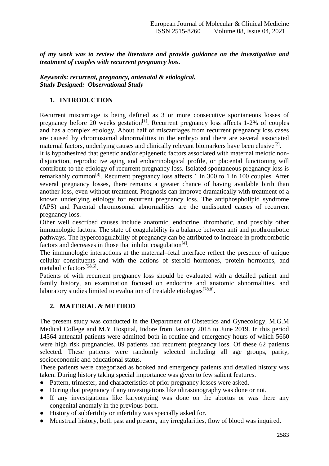*of my work was to review the literature and provide guidance on the investigation and treatment of couples with recurrent pregnancy loss.*

## *Keywords: recurrent, pregnancy, antenatal & etiological. Study Designed: Observational Study*

## **1. INTRODUCTION**

Recurrent miscarriage is being defined as 3 or more consecutive spontaneous losses of pregnancy before  $20$  weeks gestation<sup>[1]</sup>. Recurrent pregnancy loss affects 1-2% of couples and has a complex etiology. About half of miscarriages from recurrent pregnancy loss cases are caused by chromosomal abnormalities in the embryo and there are several associated maternal factors, underlying causes and clinically relevant biomarkers have been elusive<sup>[2]</sup>.

It is hypothesized that genetic and/or epigenetic factors associated with maternal meiotic nondisjunction, reproductive aging and endocrinological profile, or placental functioning will contribute to the etiology of recurrent pregnancy loss. Isolated spontaneous pregnancy loss is remarkably common[3]. Recurrent pregnancy loss affects 1 in 300 to 1 in 100 couples. After several pregnancy losses, there remains a greater chance of having available birth than another loss, even without treatment. Prognosis can improve dramatically with treatment of a known underlying etiology for recurrent pregnancy loss. The antiphospholipid syndrome (APS) and Parental chromosomal abnormalities are the undisputed causes of recurrent pregnancy loss.

Other well described causes include anatomic, endocrine, thrombotic, and possibly other immunologic factors. The state of coagulability is a balance between anti and prothrombotic pathways. The hypercoagulability of pregnancy can be attributed to increase in prothrombotic factors and decreases in those that inhibit coagulation $^{[4]}$ .

The immunologic interactions at the maternal–fetal interface reflect the presence of unique cellular constituents and with the actions of steroid hormones, protein hormones, and metabolic factors<sup>[5&6]</sup>.

Patients of with recurrent pregnancy loss should be evaluated with a detailed patient and family history, an examination focused on endocrine and anatomic abnormalities, and laboratory studies limited to evaluation of treatable etiologies  $[788]$ .

## **2. MATERIAL & METHOD**

The present study was conducted in the Department of Obstetrics and Gynecology, M.G.M Medical College and M.Y Hospital, Indore from January 2018 to June 2019. In this period 14564 antenatal patients were admitted both in routine and emergency hours of which 5660 were high risk pregnancies. 89 patients had recurrent pregnancy loss. Of these 62 patients selected. These patients were randomly selected including all age groups, parity, socioeconomic and educational status.

These patients were categorized as booked and emergency patients and detailed history was taken. During history taking special importance was given to few salient features.

- Pattern, trimester, and characteristics of prior pregnancy losses were asked.
- During that pregnancy if any investigations like ultrasonography was done or not.
- If any investigations like karyotyping was done on the abortus or was there any congenital anomaly in the previous born.
- History of subfertility or infertility was specially asked for.
- Menstrual history, both past and present, any irregularities, flow of blood was inquired.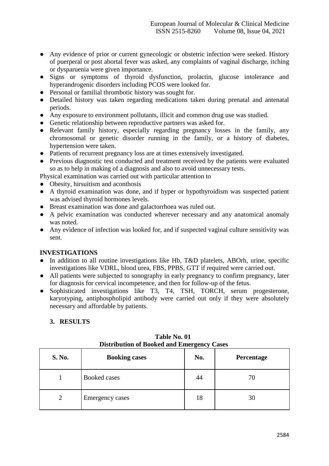- Any evidence of prior or current gynecologic or obstetric infection were seeked. History of puerperal or post abortal fever was asked, any complaints of vaginal discharge, itching or dysparuenia were given importance.
- Signs or symptoms of thyroid dysfunction, prolactin, glucose intolerance and hyperandrogenic disorders including PCOS were looked for.
- Personal or familial thrombotic history was sought for.
- Detailed history was taken regarding medications taken during prenatal and antenatal periods.
- Any exposure to environment pollutants, illicit and common drug use was studied.
- Genetic relationship between reproductive partners was asked for.
- Relevant family history, especially regarding pregnancy losses in the family, any chromosomal or genetic disorder running in the family, or a history of diabetes, hypertension were taken.
- Patients of recurrent pregnancy loss are at times extensively investigated.
- Previous diagnostic test conducted and treatment received by the patients were evaluated so as to help in making of a diagnosis and also to avoid unnecessary tests.

Physical examination was carried out with particular attention to

- Obesity, hirsuitism and aconthosis
- A thyroid examination was done, and if hyper or hypothyroidism was suspected patient was advised thyroid hormones levels.
- Breast examination was done and galactorrhoea was ruled out.
- A pelvic examination was conducted wherever necessary and any anatomical anomaly was noted.
- Any evidence of infection was looked for, and if suspected vaginal culture sensitivity was sent.

### **INVESTIGATIONS**

- In addition to all routine investigations like Hb, T&D platelets, ABOrh, urine, specific investigations like VDRL, blood urea, FBS, PPBS, GTT if required were carried out.
- All patients were subjected to sonography in early pregnancy to confirm pregnancy, later for diagnosis for cervical incompetence, and then for follow-up of the fetus.
- Sophisticated investigations like T3, T4, TSH, TORCH, serum progesterone, karyotyping, antiphospholipid antibody were carried out only if they were absolutely necessary and affordable by patients.

### **3. RESULTS**

| <b>S. No.</b> | <b>Booking cases</b> | No. | Percentage |
|---------------|----------------------|-----|------------|
|               | Booked cases         | 44  | 70         |
| 2             | Emergency cases      | 18  | 30         |

**Table No. 01 Distribution of Booked and Emergency Cases**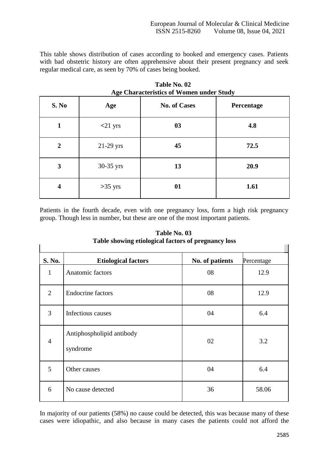This table shows distribution of cases according to booked and emergency cases. Patients with bad obstetric history are often apprehensive about their present pregnancy and seek regular medical care, as seen by 70% of cases being booked.

| Age Characteristics or women under Study |             |                     |            |  |  |
|------------------------------------------|-------------|---------------------|------------|--|--|
| S. No                                    | Age         | <b>No. of Cases</b> | Percentage |  |  |
| 1                                        | $<$ 21 yrs  | 03                  | 4.8        |  |  |
| $\boldsymbol{2}$                         | $21-29$ yrs | 45                  | 72.5       |  |  |
| 3                                        | 30-35 yrs   | 13                  | 20.9       |  |  |
| $\overline{\mathbf{4}}$                  | $>35$ yrs   | 01                  | 1.61       |  |  |

**Table No. 02 Age Characteristics of Women under Study**

Patients in the fourth decade, even with one pregnancy loss, form a high risk pregnancy group. Though less in number, but these are one of the most important patients.

| Table showing enological factors of pregnancy 1088 |                                       |                 |            |  |  |  |
|----------------------------------------------------|---------------------------------------|-----------------|------------|--|--|--|
| S. No.                                             | <b>Etiological factors</b>            | No. of patients | Percentage |  |  |  |
| $\mathbf{1}$                                       | Anatomic factors                      | 08              | 12.9       |  |  |  |
| $\overline{2}$                                     | <b>Endocrine</b> factors              | 08              | 12.9       |  |  |  |
| 3                                                  | Infectious causes                     | 04              | 6.4        |  |  |  |
| $\overline{4}$                                     | Antiphospholipid antibody<br>syndrome | 02              | 3.2        |  |  |  |
| 5                                                  | Other causes                          | 04              | 6.4        |  |  |  |
| 6                                                  | No cause detected                     | 36              | 58.06      |  |  |  |

**Table No. 03 Table showing etiological factors of pregnancy loss**

In majority of our patients (58%) no cause could be detected, this was because many of these cases were idiopathic, and also because in many cases the patients could not afford the

 $\overline{\phantom{a}}$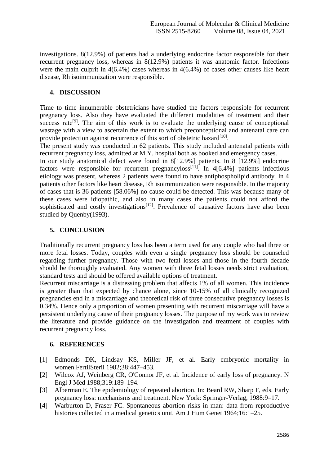investigations. 8(12.9%) of patients had a underlying endocrine factor responsible for their recurrent pregnancy loss, whereas in 8(12.9%) patients it was anatomic factor. Infections were the main culprit in 4(6.4%) cases whereas in 4(6.4%) of cases other causes like heart disease, Rh isoimmunization were responsible.

## **4. DISCUSSION**

Time to time innumerable obstetricians have studied the factors responsible for recurrent pregnancy loss. Also they have evaluated the different modalities of treatment and their success rate<sup>[9]</sup>. The aim of this work is to evaluate the underlying cause of conceptional wastage with a view to ascertain the extent to which preconceptional and antenatal care can provide protection against recurrence of this sort of obstetric hazard<sup>[10]</sup>.

The present study was conducted in 62 patients. This study included antenatal patients with recurrent pregnancy loss, admitted at M.Y. hospital both as booked and emergency cases.

In our study anatomical defect were found in 8[12.9%] patients. In 8 [12.9%] endocrine factors were responsible for recurrent pregnancy $loss^{[11]}$ . In 4[6.4%] patients infectious etiology was present, whereas 2 patients were found to have antiphospholipid antibody. In 4 patients other factors like heart disease, Rh isoimmunization were responsible. In the majority of cases that is 36 patients [58.06%] no cause could be detected. This was because many of these cases were idiopathic, and also in many cases the patients could not afford the sophisticated and costly investigations<sup>[12]</sup>. Prevalence of causative factors have also been studied by Quenby(1993).

## **5. CONCLUSION**

Traditionally recurrent pregnancy loss has been a term used for any couple who had three or more fetal losses. Today, couples with even a single pregnancy loss should be counseled regarding further pregnancy. Those with two fetal losses and those in the fourth decade should be thoroughly evaluated. Any women with three fetal losses needs strict evaluation, standard tests and should be offered available options of treatment.

Recurrent miscarriage is a distressing problem that affects 1% of all women. This incidence is greater than that expected by chance alone, since 10-15% of all clinically recognized pregnancies end in a miscarriage and theoretical risk of three consecutive pregnancy losses is 0.34%. Hence only a proportion of women presenting with recurrent miscarriage will have a persistent underlying cause of their pregnancy losses. The purpose of my work was to review the literature and provide guidance on the investigation and treatment of couples with recurrent pregnancy loss.

### **6. REFERENCES**

- [1] Edmonds DK, Lindsay KS, Miller JF, et al. Early embryonic mortality in women.FertilSteril 1982;38:447–453.
- [2] Wilcox AJ, Weinberg CR, O'Connor JF, et al. Incidence of early loss of pregnancy. N Engl J Med 1988;319:189–194.
- [3] Alberman E. The epidemiology of repeated abortion. In: Beard RW, Sharp F, eds. Early pregnancy loss: mechanisms and treatment. New York: Springer-Verlag, 1988:9–17.
- [4] Warburton D, Fraser FC. Spontaneous abortion risks in man: data from reproductive histories collected in a medical genetics unit. Am J Hum Genet 1964;16:1–25.